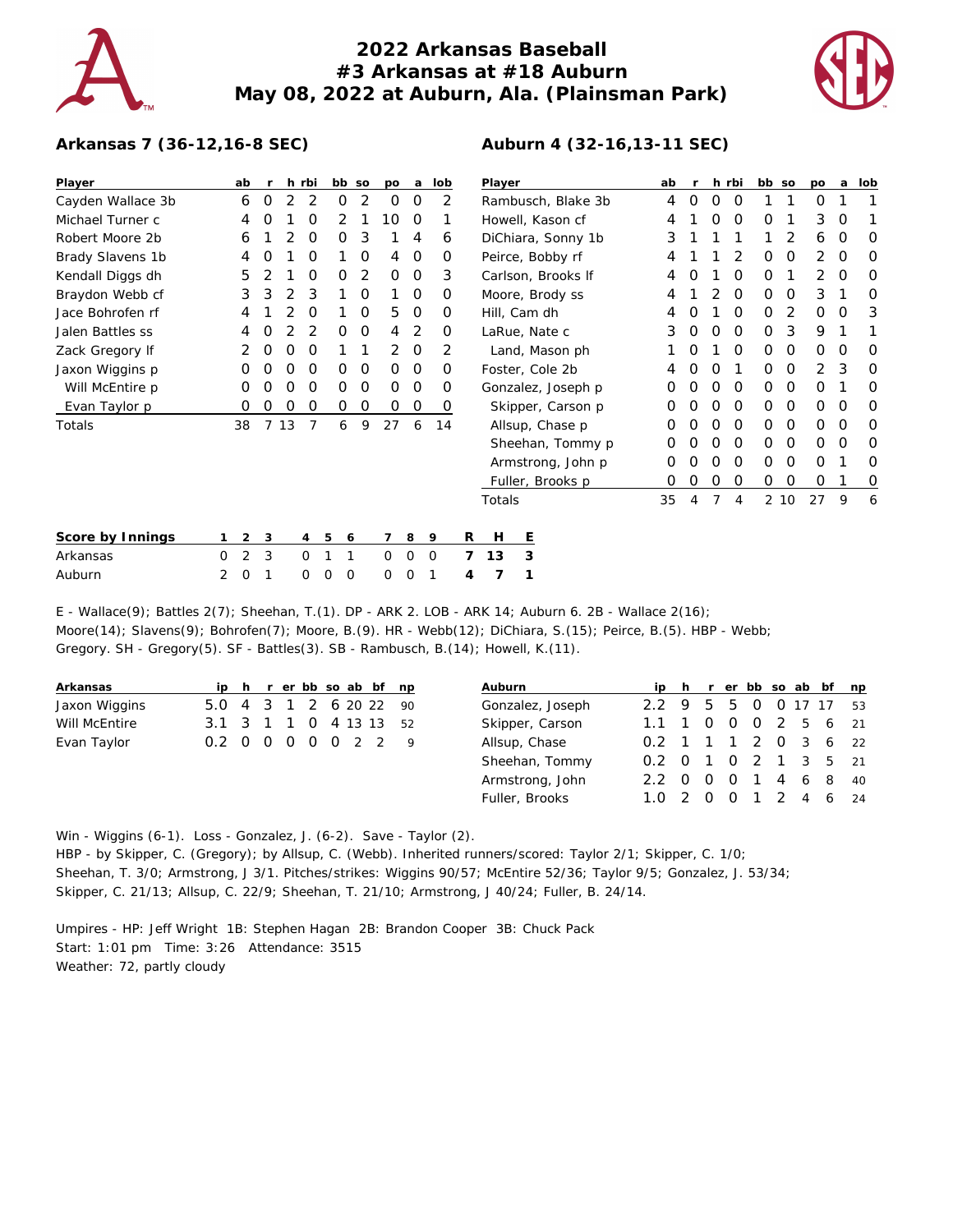

## **2022 Arkansas Baseball #3 Arkansas at #18 Auburn May 08, 2022 at Auburn, Ala. (Plainsman Park)**



## **Arkansas 7 (36-12,16-8 SEC)**

| Player            |   | ab | <b>r</b> |    | h rbi    |               | bb so | po       | a           | lob         |   | Player             |                  |                   | ab | $\mathsf{r}$ |          | h rbi    | bb so       |          | po       | a        | lob |
|-------------------|---|----|----------|----|----------|---------------|-------|----------|-------------|-------------|---|--------------------|------------------|-------------------|----|--------------|----------|----------|-------------|----------|----------|----------|-----|
| Cayden Wallace 3b |   | 6  | 0        | 2  | 2        | 0             | 2     | 0        | 0           | 2           |   | Rambusch, Blake 3b |                  | 4                 | 0  | $\Omega$     | 0        |          |             | 0        |          |          |     |
| Michael Turner c  |   | 4  | Ω        |    | O        | 2             |       | 10       | 0           |             |   | Howell, Kason cf   |                  |                   | 4  |              | Ω        | 0        | 0           |          | 3        | O        |     |
| Robert Moore 2b   |   | 6  |          |    | O        | 0             | 3     |          | 4           | 6           |   | DiChiara, Sonny 1b |                  |                   | 3  |              |          |          |             | 2        | 6        | O        | O   |
| Brady Slavens 1b  |   | 4  | O        |    | 0        |               | 0     | 4        | 0           | 0           |   | Peirce, Bobby rf   |                  | 4                 |    |              | 2        | 0        | 0           | 2        | 0        | 0        |     |
| Kendall Diggs dh  |   | 5  |          |    | O        | 0             | 2     | $\Omega$ | $\mathbf 0$ | 3           |   | Carlson, Brooks If |                  | 4                 |    |              | O        | 0        |             | 2        | $\Omega$ | 0        |     |
| Braydon Webb cf   |   | 3  | 3        |    | 3        |               | O     |          | $\Omega$    | $\Omega$    |   | Moore, Brody ss    |                  |                   |    |              | $\Omega$ | $\Omega$ | 0           | 3        |          | O        |     |
| Jace Bohrofen rf  |   | 4  |          |    | 0        |               | 0     | 5        | $\mathbf 0$ | 0           |   | Hill, Cam dh       |                  |                   |    |              |          | $\Omega$ | 0           | 2        | 0        | $\Omega$ | 3   |
| Jalen Battles ss  |   | 4  | Ω        |    | 2        | 0             | 0     | 4        | 2           | 0           |   | LaRue, Nate c      |                  |                   | 3  | $\Omega$     | O        | 0        | 0           | 3        | 9        |          |     |
| Zack Gregory If   |   |    | O        | Ω  | O        |               |       | 2        | $\Omega$    | 2           |   | Land, Mason ph     |                  |                   |    |              | $\Omega$ | $\Omega$ | 0           | $\Omega$ | O        | O        |     |
| Jaxon Wiggins p   |   | Ο  | Ο        | O  | O        | 0             | 0     | $\Omega$ | 0           | $\Omega$    |   |                    | Foster, Cole 2b  |                   | 4  |              | O        |          | 0           | 0        | 2        | 3        | O   |
| Will McEntire p   |   | 0  | O        | Ο  | 0        | 0             | 0     | 0        | 0           | 0           |   | Gonzalez, Joseph p |                  | O                 |    | O            | 0        | 0        | 0           | 0        |          | 0        |     |
| Evan Taylor p     |   | 0  | 0        | 0  | 0        | 0             | 0     | 0        | $\mathbf 0$ | 0           |   |                    |                  | Skipper, Carson p | O  |              | O        | 0        | $\Omega$    | 0        | $\Omega$ | O        | 0   |
| Totals            |   | 38 |          | 13 |          | 6             | 9     | 27       | 6           | 14          |   |                    | Allsup, Chase p  |                   |    |              |          | $\Omega$ | 0           | 0        | O        | $\Omega$ | 0   |
|                   |   |    |          |    |          |               |       |          |             |             |   |                    |                  | Sheehan, Tommy p  | O  |              | O        | 0        | 0           | 0        | 0        | O        | 0   |
|                   |   |    |          |    |          |               |       |          |             |             |   | Armstrong, John p  |                  | 0                 |    | Ω            | $\Omega$ | $\Omega$ | 0           | 0        |          | 0        |     |
|                   |   |    |          |    |          |               |       |          |             |             |   |                    | Fuller, Brooks p |                   | O  |              | O        | 0        | $\mathbf 0$ | 0        | $\Omega$ |          | 0   |
|                   |   |    |          |    |          |               |       |          |             |             |   | Totals             |                  |                   | 35 | 4            | 7        | 4        |             | 2 10     | 27       | 9        | 6   |
| Score by Innings  |   | 2  | 3        |    | 4        | 5             | 6     | 7        | 8           | 9           | R | H                  | Ε                |                   |    |              |          |          |             |          |          |          |     |
| Arkansas          | 0 | 2  | 3        |    | $\circ$  |               |       | 0        | $\mathbf 0$ | $\mathbf 0$ | 7 | 13                 | 3                |                   |    |              |          |          |             |          |          |          |     |
| Auburn            | 2 | 0  |          |    | $\Omega$ | $\Omega$<br>0 |       | 0        | $\Omega$    |             | 4 | 7                  |                  |                   |    |              |          |          |             |          |          |          |     |

E - Wallace(9); Battles 2(7); Sheehan, T.(1). DP - ARK 2. LOB - ARK 14; Auburn 6. 2B - Wallace 2(16); Moore(14); Slavens(9); Bohrofen(7); Moore, B.(9). HR - Webb(12); DiChiara, S.(15); Peirce, B.(5). HBP - Webb; Gregory. SH - Gregory(5). SF - Battles(3). SB - Rambusch, B.(14); Howell, K.(11).

| Arkansas      |                        |  |  |  | ip h r er bb so ab bf np |  |
|---------------|------------------------|--|--|--|--------------------------|--|
| Jaxon Wiggins | 5.0 4 3 1 2 6 20 22 90 |  |  |  |                          |  |
| Will McEntire | 3.1 3 1 1 0 4 13 13 52 |  |  |  |                          |  |
| Evan Taylor   | 0.2 0 0 0 0 0 2 2 9    |  |  |  |                          |  |

| <b>Auburn</b>    |                       |                |           |  | ip h r er bb so ab bf np |
|------------------|-----------------------|----------------|-----------|--|--------------------------|
| Gonzalez, Joseph | 2.2 9 5 5 0 0 17 17   |                |           |  | 53                       |
| Skipper, Carson  | $1.1 \quad 1$         | $\overline{O}$ |           |  | 0 0 2 5 6 21             |
| Allsup, Chase    | 0.2 1 1 1 2 0 3 6 22  |                |           |  |                          |
| Sheehan, Tommy   | 0.2 0 1 0 2 1 3 5 21  |                |           |  |                          |
| Armstrong, John  | $2.2 \quad 0 \quad 0$ |                | 0 1 4 6 8 |  | 40                       |
| Fuller, Brooks   | $1.0 \t2.0$           |                |           |  | 0 1 2 4 6 24             |

Win - Wiggins (6-1). Loss - Gonzalez, J. (6-2). Save - Taylor (2). HBP - by Skipper, C. (Gregory); by Allsup, C. (Webb). Inherited runners/scored: Taylor 2/1; Skipper, C. 1/0; Sheehan, T. 3/0; Armstrong, J 3/1. Pitches/strikes: Wiggins 90/57; McEntire 52/36; Taylor 9/5; Gonzalez, J. 53/34; Skipper, C. 21/13; Allsup, C. 22/9; Sheehan, T. 21/10; Armstrong, J 40/24; Fuller, B. 24/14.

Umpires - HP: Jeff Wright 1B: Stephen Hagan 2B: Brandon Cooper 3B: Chuck Pack Start: 1:01 pm Time: 3:26 Attendance: 3515 Weather: 72, partly cloudy

## **Auburn 4 (32-16,13-11 SEC)**